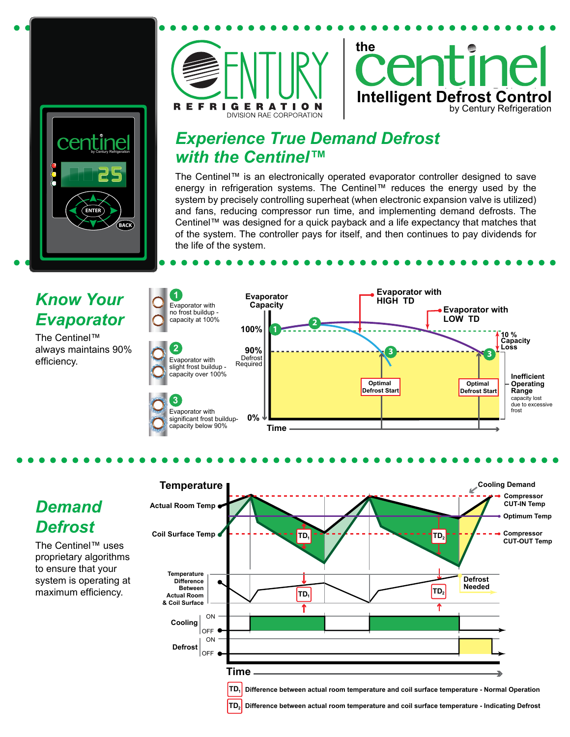





## *Experience True Demand Defrost with the Centinel™*

The Centinel™ is an electronically operated evaporator controller designed to save energy in refrigeration systems. The Centinel™ reduces the energy used by the system by precisely controlling superheat (when electronic expansion valve is utilized) and fans, reducing compressor run time, and implementing demand defrosts. The Centinel™ was designed for a quick payback and a life expectancy that matches that of the system. The controller pays for itself, and then continues to pay dividends for the life of the system.



## *Demand Defrost*

The Centinel™ uses proprietary algorithms to ensure that your system is operating at maximum efficiency.